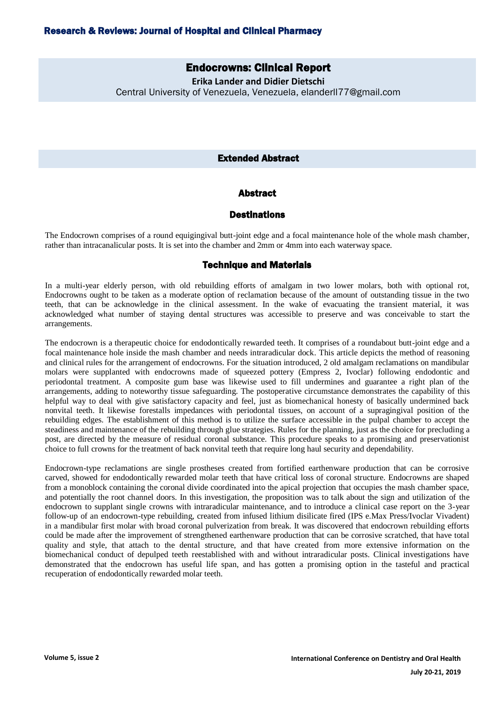# Endocrowns: Clinical Report

**Erika Lander and Didier Dietschi** Central University of Venezuela, Venezuela, elanderll77@gmail.com

## Extended Abstract

## Abstract

# **Destinations**

The Endocrown comprises of a round equigingival butt-joint edge and a focal maintenance hole of the whole mash chamber, rather than intracanalicular posts. It is set into the chamber and 2mm or 4mm into each waterway space.

#### Technique and Materials

In a multi-year elderly person, with old rebuilding efforts of amalgam in two lower molars, both with optional rot, Endocrowns ought to be taken as a moderate option of reclamation because of the amount of outstanding tissue in the two teeth, that can be acknowledge in the clinical assessment. In the wake of evacuating the transient material, it was acknowledged what number of staying dental structures was accessible to preserve and was conceivable to start the arrangements.

The endocrown is a therapeutic choice for endodontically rewarded teeth. It comprises of a roundabout butt-joint edge and a focal maintenance hole inside the mash chamber and needs intraradicular dock. This article depicts the method of reasoning and clinical rules for the arrangement of endocrowns. For the situation introduced, 2 old amalgam reclamations on mandibular molars were supplanted with endocrowns made of squeezed pottery (Empress 2, Ivoclar) following endodontic and periodontal treatment. A composite gum base was likewise used to fill undermines and guarantee a right plan of the arrangements, adding to noteworthy tissue safeguarding. The postoperative circumstance demonstrates the capability of this helpful way to deal with give satisfactory capacity and feel, just as biomechanical honesty of basically undermined back nonvital teeth. It likewise forestalls impedances with periodontal tissues, on account of a supragingival position of the rebuilding edges. The establishment of this method is to utilize the surface accessible in the pulpal chamber to accept the steadiness and maintenance of the rebuilding through glue strategies. Rules for the planning, just as the choice for precluding a post, are directed by the measure of residual coronal substance. This procedure speaks to a promising and preservationist choice to full crowns for the treatment of back nonvital teeth that require long haul security and dependability.

Endocrown-type reclamations are single prostheses created from fortified earthenware production that can be corrosive carved, showed for endodontically rewarded molar teeth that have critical loss of coronal structure. Endocrowns are shaped from a monoblock containing the coronal divide coordinated into the apical projection that occupies the mash chamber space, and potentially the root channel doors. In this investigation, the proposition was to talk about the sign and utilization of the endocrown to supplant single crowns with intraradicular maintenance, and to introduce a clinical case report on the 3-year follow-up of an endocrown-type rebuilding, created from infused lithium disilicate fired (IPS e.Max Press/Ivoclar Vivadent) in a mandibular first molar with broad coronal pulverization from break. It was discovered that endocrown rebuilding efforts could be made after the improvement of strengthened earthenware production that can be corrosive scratched, that have total quality and style, that attach to the dental structure, and that have created from more extensive information on the biomechanical conduct of depulped teeth reestablished with and without intraradicular posts. Clinical investigations have demonstrated that the endocrown has useful life span, and has gotten a promising option in the tasteful and practical recuperation of endodontically rewarded molar teeth.